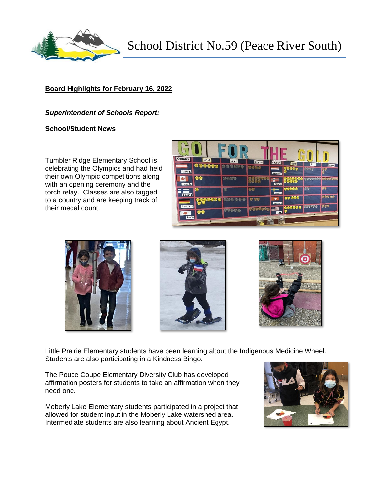

School District No.59 (Peace River South)

# **Board Highlights for February 16, 2022**

### *Superintendent of Schools Report:*

### **School/Student News**

Tumbler Ridge Elementary School is celebrating the Olympics and had held their own Olympic competitions along with an opening ceremony and the torch relay. Classes are also tagged to a country and are keeping track of their medal count.









Little Prairie Elementary students have been learning about the Indigenous Medicine Wheel. Students are also participating in a Kindness Bingo.

The Pouce Coupe Elementary Diversity Club has developed affirmation posters for students to take an affirmation when they need one.

Moberly Lake Elementary students participated in a project that allowed for student input in the Moberly Lake watershed area. Intermediate students are also learning about Ancient Egypt.

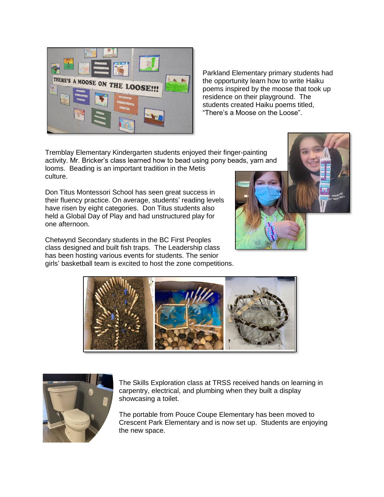

Parkland Elementary primary students had the opportunity learn how to write Haiku poems inspired by the moose that took up residence on their playground. The students created Haiku poems titled, "There's a Moose on the Loose".

Tremblay Elementary Kindergarten students enjoyed their finger-painting activity. Mr. Bricker's class learned how to bead using pony beads, yarn and looms. Beading is an important tradition in the Metis culture.

Don Titus Montessori School has seen great success in their fluency practice. On average, students' reading levels have risen by eight categories. Don Titus students also held a Global Day of Play and had unstructured play for one afternoon.

Chetwynd Secondary students in the BC First Peoples class designed and built fish traps. The Leadership class has been hosting various events for students. The senior girls' basketball team is excited to host the zone competitions.







The Skills Exploration class at TRSS received hands on learning in carpentry, electrical, and plumbing when they built a display showcasing a toilet.

The portable from Pouce Coupe Elementary has been moved to Crescent Park Elementary and is now set up. Students are enjoying the new space.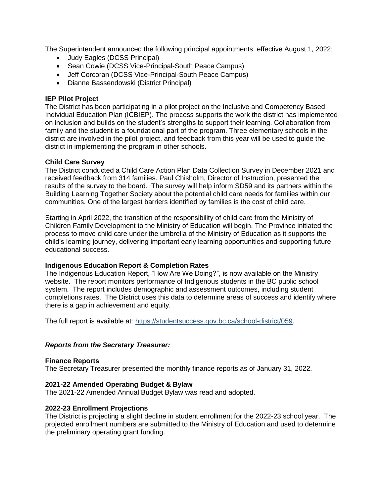The Superintendent announced the following principal appointments, effective August 1, 2022:

- Judy Eagles (DCSS Principal)
- Sean Cowie (DCSS Vice-Principal-South Peace Campus)
- Jeff Corcoran (DCSS Vice-Principal-South Peace Campus)
- Dianne Bassendowski (District Principal)

## **IEP Pilot Project**

The District has been participating in a pilot project on the Inclusive and Competency Based Individual Education Plan (ICBIEP). The process supports the work the district has implemented on inclusion and builds on the student's strengths to support their learning. Collaboration from family and the student is a foundational part of the program. Three elementary schools in the district are involved in the pilot project, and feedback from this year will be used to guide the district in implementing the program in other schools.

### **Child Care Survey**

The District conducted a Child Care Action Plan Data Collection Survey in December 2021 and received feedback from 314 families. Paul Chisholm, Director of Instruction, presented the results of the survey to the board. The survey will help inform SD59 and its partners within the Building Learning Together Society about the potential child care needs for families within our communities. One of the largest barriers identified by families is the cost of child care.

Starting in April 2022, the transition of the responsibility of child care from the Ministry of Children Family Development to the Ministry of Education will begin. The Province initiated the process to move child care under the umbrella of the Ministry of Education as it supports the child's learning journey, delivering important early learning opportunities and supporting future educational success.

## **Indigenous Education Report & Completion Rates**

The Indigenous Education Report, "How Are We Doing?", is now available on the Ministry website. The report monitors performance of Indigenous students in the BC public school system. The report includes demographic and assessment outcomes, including student completions rates. The District uses this data to determine areas of success and identify where there is a gap in achievement and equity.

The full report is available at: [https://studentsuccess.gov.bc.ca/school-district/059.](https://studentsuccess.gov.bc.ca/school-district/059)

## *Reports from the Secretary Treasurer:*

## **Finance Reports**

The Secretary Treasurer presented the monthly finance reports as of January 31, 2022.

#### **2021-22 Amended Operating Budget & Bylaw**

The 2021-22 Amended Annual Budget Bylaw was read and adopted.

#### **2022-23 Enrollment Projections**

The District is projecting a slight decline in student enrollment for the 2022-23 school year. The projected enrollment numbers are submitted to the Ministry of Education and used to determine the preliminary operating grant funding.